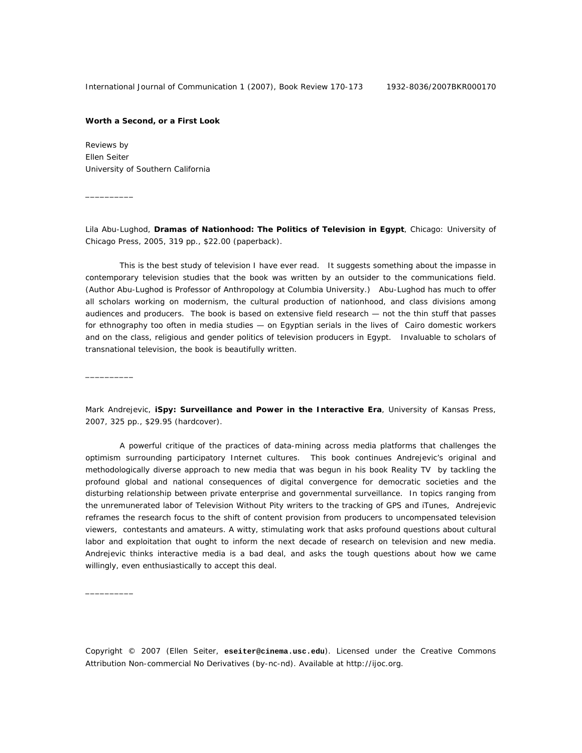## **Worth a Second, or a First Look**

Reviews by Ellen Seiter University of Southern California

 $\overline{\phantom{a}}$   $\overline{\phantom{a}}$   $\overline{\phantom{a}}$   $\overline{\phantom{a}}$   $\overline{\phantom{a}}$   $\overline{\phantom{a}}$   $\overline{\phantom{a}}$   $\overline{\phantom{a}}$   $\overline{\phantom{a}}$   $\overline{\phantom{a}}$   $\overline{\phantom{a}}$   $\overline{\phantom{a}}$   $\overline{\phantom{a}}$   $\overline{\phantom{a}}$   $\overline{\phantom{a}}$   $\overline{\phantom{a}}$   $\overline{\phantom{a}}$   $\overline{\phantom{a}}$   $\overline{\$ 

\_\_\_\_\_\_\_\_\_\_

\_\_\_\_\_\_\_\_\_\_

Lila Abu-Lughod, **Dramas of Nationhood: The Politics of Television in Egypt**, Chicago: University of Chicago Press, 2005, 319 pp., \$22.00 (paperback).

This is the best study of television I have ever read. It suggests something about the impasse in contemporary television studies that the book was written by an outsider to the communications field. (Author Abu-Lughod is Professor of Anthropology at Columbia University.) Abu-Lughod has much to offer all scholars working on modernism, the cultural production of nationhood, and class divisions among audiences and producers. The book is based on extensive field research — not the thin stuff that passes for ethnography too often in media studies — on Egyptian serials in the lives of Cairo domestic workers and on the class, religious and gender politics of television producers in Egypt. Invaluable to scholars of transnational television, the book is beautifully written.

Mark Andrejevic, **iSpy: Surveillance and Power in the Interactive Era**, University of Kansas Press, 2007, 325 pp., \$29.95 (hardcover).

A powerful critique of the practices of data-mining across media platforms that challenges the optimism surrounding participatory Internet cultures. This book continues Andrejevic's original and methodologically diverse approach to new media that was begun in his book *Reality TV* by tackling the profound global and national consequences of digital convergence for democratic societies and the disturbing relationship between private enterprise and governmental surveillance. In topics ranging from the unremunerated labor of Television Without Pity writers to the tracking of GPS and iTunes, Andrejevic reframes the research focus to the shift of content provision from producers to uncompensated television viewers, contestants and amateurs. A witty, stimulating work that asks profound questions about cultural labor and exploitation that ought to inform the next decade of research on television and new media. Andrejevic thinks interactive media is a bad deal, and asks the tough questions about how we came willingly, even enthusiastically to accept this deal.

Copyright © 2007 (Ellen Seiter, **eseiter@cinema.usc.edu**). Licensed under the Creative Commons Attribution Non-commercial No Derivatives (by-nc-nd). Available at http://ijoc.org.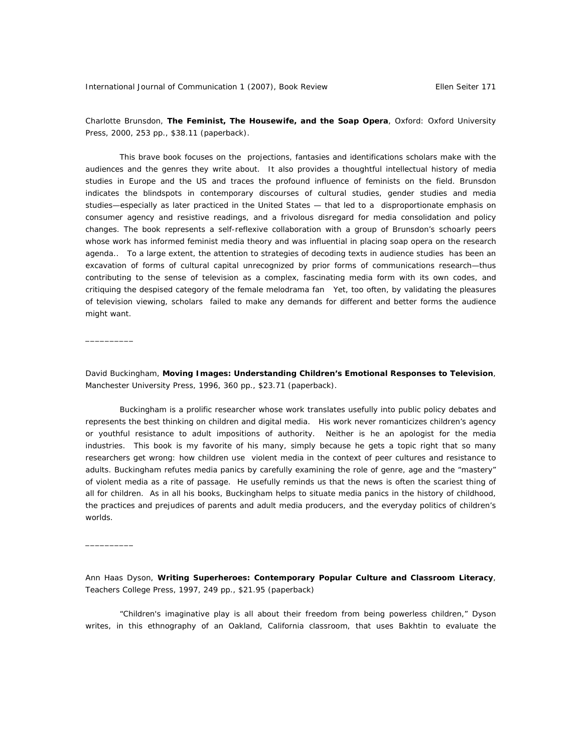$\overline{\phantom{a}}$  , where  $\overline{\phantom{a}}$ 

 $\overline{\phantom{a}}$  , where  $\overline{\phantom{a}}$ 

Charlotte Brunsdon, **The Feminist, The Housewife, and the Soap Opera**, Oxford: Oxford University Press, 2000, 253 pp., \$38.11 (paperback).

This brave book focuses on the projections, fantasies and identifications scholars make with the audiences and the genres they write about. It also provides a thoughtful intellectual history of media studies in Europe and the US and traces the profound influence of feminists on the field. Brunsdon indicates the blindspots in contemporary discourses of cultural studies, gender studies and media studies—especially as later practiced in the United States — that led to a disproportionate emphasis on consumer agency and resistive readings, and a frivolous disregard for media consolidation and policy changes. The book represents a self-reflexive collaboration with a group of Brunsdon's schoarly peers whose work has informed feminist media theory and was influential in placing soap opera on the research agenda.. To a large extent, the attention to strategies of decoding texts in audience studies has been an excavation of forms of cultural capital unrecognized by prior forms of communications research—thus contributing to the sense of television as a complex, fascinating media form with its own codes, and critiquing the despised category of the female melodrama fan Yet, too often, by validating the pleasures of television viewing, scholars failed to make any demands for different and better forms the audience might want.

David Buckingham, **Moving Images: Understanding Children's Emotional Responses to Television**, Manchester University Press, 1996, 360 pp., \$23.71 (paperback).

Buckingham is a prolific researcher whose work translates usefully into public policy debates and represents the best thinking on children and digital media. His work never romanticizes children's agency or youthful resistance to adult impositions of authority. Neither is he an apologist for the media industries. This book is my favorite of his many, simply because he gets a topic right that so many researchers get wrong: how children use violent media in the context of peer cultures and resistance to adults. Buckingham refutes media panics by carefully examining the role of genre, age and the "mastery" of violent media as a rite of passage. He usefully reminds us that the news is often the scariest thing of all for children. As in all his books, Buckingham helps to situate media panics in the history of childhood, the practices and prejudices of parents and adult media producers, and the everyday politics of children's worlds.

Ann Haas Dyson, **Writing Superheroes: Contemporary Popular Culture and Classroom Literacy**, Teachers College Press, 1997, 249 pp., \$21.95 (paperback)

"Children's imaginative play is all about their freedom from being powerless children," Dyson writes, in this ethnography of an Oakland, California classroom, that uses Bakhtin to evaluate the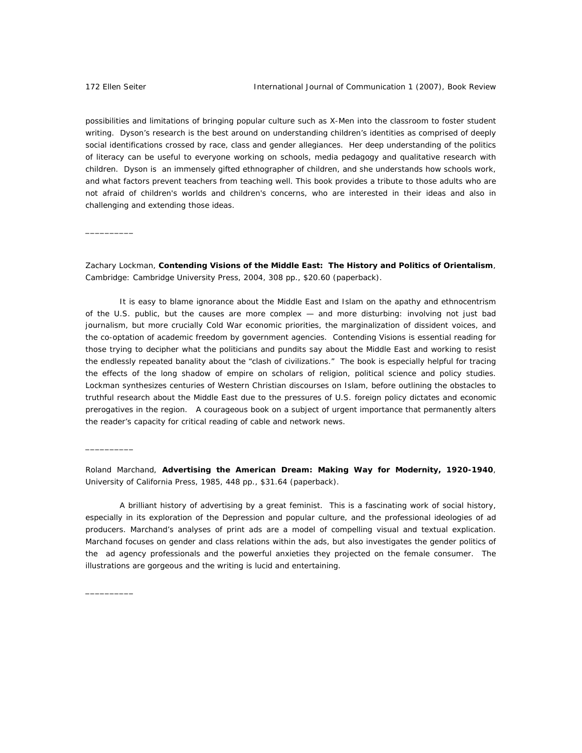\_\_\_\_\_\_\_\_\_\_

 $\overline{\phantom{a}}$   $\overline{\phantom{a}}$   $\overline{\phantom{a}}$   $\overline{\phantom{a}}$   $\overline{\phantom{a}}$   $\overline{\phantom{a}}$   $\overline{\phantom{a}}$   $\overline{\phantom{a}}$   $\overline{\phantom{a}}$   $\overline{\phantom{a}}$   $\overline{\phantom{a}}$   $\overline{\phantom{a}}$   $\overline{\phantom{a}}$   $\overline{\phantom{a}}$   $\overline{\phantom{a}}$   $\overline{\phantom{a}}$   $\overline{\phantom{a}}$   $\overline{\phantom{a}}$   $\overline{\$ 

\_\_\_\_\_\_\_\_\_\_

possibilities and limitations of bringing popular culture such as X-Men into the classroom to foster student writing. Dyson's research is the best around on understanding children's identities as comprised of deeply social identifications crossed by race, class and gender allegiances. Her deep understanding of the politics of literacy can be useful to everyone working on schools, media pedagogy and qualitative research with children. Dyson is an immensely gifted ethnographer of children, and she understands how schools work, and what factors prevent teachers from teaching well. This book provides a tribute to those adults who are not afraid of children's worlds and children's concerns, who are interested in their ideas and also in challenging and extending those ideas.

Zachary Lockman, **Contending Visions of the Middle East: The History and Politics of Orientalism**, Cambridge: Cambridge University Press, 2004, 308 pp., \$20.60 (paperback).

It is easy to blame ignorance about the Middle East and Islam on the apathy and ethnocentrism of the U.S. public, but the causes are more complex — and more disturbing: involving not just bad journalism, but more crucially Cold War economic priorities, the marginalization of dissident voices, and the co-optation of academic freedom by government agencies. *Contending Visions* is essential reading for those trying to decipher what the politicians and pundits say about the Middle East and working to resist the endlessly repeated banality about the "clash of civilizations." The book is especially helpful for tracing the effects of the long shadow of empire on scholars of religion, political science and policy studies. Lockman synthesizes centuries of Western Christian discourses on Islam, before outlining the obstacles to truthful research about the Middle East due to the pressures of U.S. foreign policy dictates and economic prerogatives in the region. A courageous book on a subject of urgent importance that permanently alters the reader's capacity for critical reading of cable and network news.

Roland Marchand, **Advertising the American Dream: Making Way for Modernity, 1920-1940**, University of California Press, 1985, 448 pp., \$31.64 (paperback).

A brilliant history of advertising by a great feminist. This is a fascinating work of social history, especially in its exploration of the Depression and popular culture, and the professional ideologies of ad producers. Marchand's analyses of print ads are a model of compelling visual and textual explication. Marchand focuses on gender and class relations within the ads, but also investigates the gender politics of the ad agency professionals and the powerful anxieties they projected on the female consumer. The illustrations are gorgeous and the writing is lucid and entertaining.